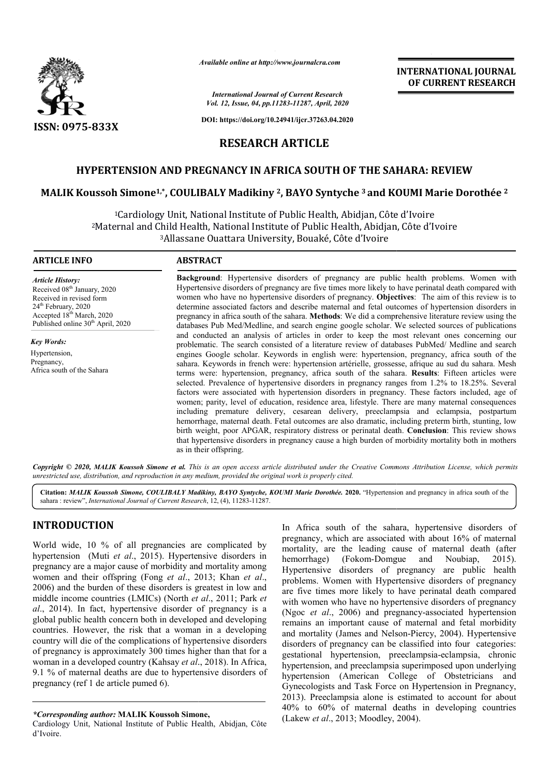

*Available online at http://www.journalcra.com*

*International Journal of Current Research Vol. 12, Issue, 04, pp.11283-11287, April, 2020*

**DOI: https://doi.org/10.24941/ijcr.37263.04.2020**

# **RESEARCH ARTICLE**

# **HYPERTENSION AND PREGNANCY IN AFRICA SOUTH OF THE SAHARA: REVIEW**

### **MALIK Koussoh Simone1,\*, COULIBALY Madikiny 2, BAYO Syntyche <sup>3</sup> and KOUMI Marie Dorothée <sup>2</sup>**

<sup>1</sup>Cardiology Unit, National Institute of Public Health, Abidjan, Côte d'Ivoire <sup>2</sup>Maternal and Child Health, National Institute of Public Health, Abidjan, Côte d'Ivoire 3Allassane Allassane Ouattara University, Bouaké, Côte d'Ivoire

#### **ARTICLE INFO ABSTRACT**

*Article History:* Received 08<sup>th</sup> January, 2020 Received in revised form 24<sup>th</sup> February, 2020 Accepted 18th March, 2020 Published online 30<sup>th</sup> April, 2020

*Key Words:* Hypertension, Pregnancy, Africa south of the Sahara Background: Hypertensive disorders of pregnancy are public health problems. Women with Hypertensive disorders of pregnancy are five times more likely to have perinatal death compared with women who have no hypertensive disorders of pregnancy. **Objectives**: The aim of this review is to determine associated factors and describe maternal and fetal outcomes of hypertension disorders in pregnancy in africa south of the sahara. **Methods**: We did a comprehensive literature review using the databases Pub Med/Medline, and search engine google scholar. We selected sources of publications and conducted an analysis of articles in order to keep the most relevant ones concerning our problematic. The search consisted of a literature review of databases PubMed/ Medline and search engines Google scholar. Keywords in english were: hypertension, pregnancy, africa south of the sahara. Keywords in french were: hypertension artérielle, grossesse, afrique au sud du sahara. Mesh terms were: hypertension, pregnancy, africa south of the sahara. Results: Fifteen articles were selected. Prevalence of hypertensive disorders in pregnancy ranges from 1.2% to 18.25%. Several factors were associated with hypertension disorders in pregnancy. These factors included, age of women; parity, level of education, residence area, lifestyle. There are many maternal consequences including premature delivery, cesarean delivery, preeclampsia and eclampsia, postpartum hemorrhage, maternal death. Fetal outcomes are also dramatic, including preterm birth, stunting, low birth weight, poor APGAR, respiratory distress or perinatal death. **Conclusion**: This review shows that hypertensive disorders in pregnancy cause a high burden of morbidity mortality both in mothers as in their offspring.

Copyright © 2020, MALIK Koussoh Simone et al. This is an open access article distributed under the Creative Commons Attribution License, which permits *unrestricted use, distribution, and reproduction in any medium, provided the original work is properly cited.*

Citation: MALIK Koussoh Simone, COULIBALY Madikiny, BAYO Syntyche, KOUMI Marie Dorothée. 2020. "Hypertension and pregnancy in africa south of the sahara : review", *International Journal of Current Research* , 12, (4), 11283-11287.

## **INTRODUCTION**

World wide, 10 % of all pregnancies are complicated by hypertension (Muti *et al*., 2015). Hypertensive disorders in pregnancy are a major cause of morbidity and mortality among women and their offspring (Fong *et al*., 2013; Khan *et al*., 2006) and the burden of these disorders is greatest in low and middle income countries (LMICs) (North *et al* ., 2011; Park *et al*., 2014). In fact, hypertensive disorder of pregnancy is a global public health concern both in developed and developing countries. However, the risk that a woman in a developing country will die of the complications of hypertensive disorders of pregnancy is approximately 300 times higher than that for a woman in a developed country (Kahsay *et al*., 2018). In Africa, 9.1 % of maternal deaths are due to hypertensive disorders of pregnancy (ref 1 de article pumed 6).

*\*Corresponding author:* **MALIK Koussoh Simone,**

In Africa south of the sahara, hypertensive disorders of pregnancy, which are associated with about 16% of maternal mortality, are the leading cause of maternal death (after hemorrhage) (Fokom-Domgue and Noubiap, 2015). Hypertensive disorders of pregnancy are public health problems. Women with Hypertensive disorders of pregnancy are five times more likely to have perinatal death compared with women who have no hypertensive disorders of pregnancy (Ngoc et al., 2006) and pregnancy-associated hypertension remains an important cause of maternal and fetal morbidity and mortality (James and Nelson-Piercy, 2004). Hypertensive disorders of pregnancy can be classified into four categories: gestational hypertension, preeclampsia-eclampsia, chronic hypertension, and preeclampsia superimposed upon underlying hypertension (American College of Obstetricians and Gynecologists and Task Force on Hypertension in Pregnancy, 2013). Preeclampsia alone is estimated to account for about 40% to 60% of maternal deaths in developing countries (Lakew *et al*., 2013; Moodley, 2004).

**INTERNATIONAL JOURNAL OF CURRENT RESEARCH**

Cardiology Unit, National Institute of Public Health, Abidjan, Côte d'Ivoire.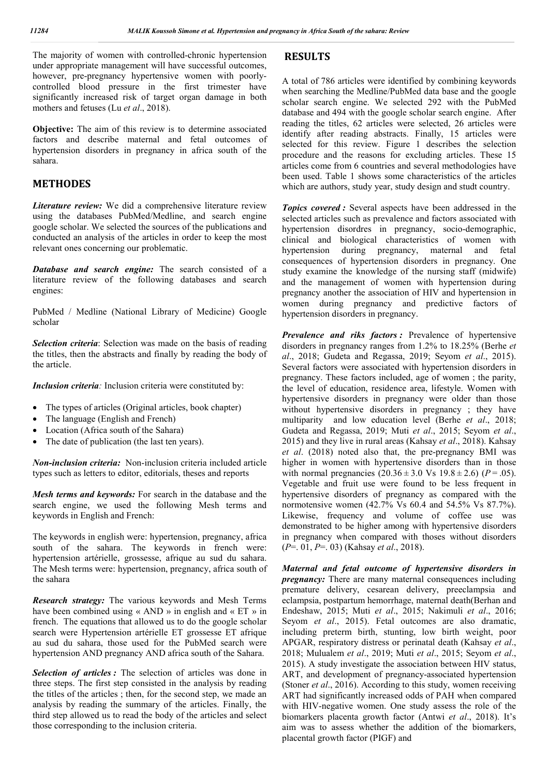The majority of women with controlled-chronic hypertension under appropriate management will have successful outcomes, however, pre-pregnancy hypertensive women with poorlycontrolled blood pressure in the first trimester have significantly increased risk of target organ damage in both mothers and fetuses (Lu *et al*., 2018).

**Objective:** The aim of this review is to determine associated factors and describe maternal and fetal outcomes of hypertension disorders in pregnancy in africa south of the sahara.

#### **METHODES**

*Literature review:* We did a comprehensive literature review using the databases PubMed/Medline, and search engine google scholar. We selected the sources of the publications and conducted an analysis of the articles in order to keep the most relevant ones concerning our problematic.

*Database and search engine:* The search consisted of a literature review of the following databases and search engines:

PubMed / Medline (National Library of Medicine) Google scholar

*Selection criteria*: Selection was made on the basis of reading the titles, then the abstracts and finally by reading the body of the article.

*Inclusion criteria:* Inclusion criteria were constituted by:

- The types of articles (Original articles, book chapter)
- The language (English and French)
- Location (Africa south of the Sahara)
- The date of publication (the last ten years).

*Non-inclusion criteria:* Non-inclusion criteria included article types such as letters to editor, editorials, theses and reports

*Mesh terms and keywords:* For search in the database and the search engine, we used the following Mesh terms and keywords in English and French:

The keywords in english were: hypertension, pregnancy, africa south of the sahara. The keywords in french were: hypertension artérielle, grossesse, afrique au sud du sahara. The Mesh terms were: hypertension, pregnancy, africa south of the sahara

*Research strategy:* The various keywords and Mesh Terms have been combined using « AND » in english and « ET » in french. The equations that allowed us to do the google scholar search were Hypertension artérielle ET grossesse ET afrique au sud du sahara, those used for the PubMed search were hypertension AND pregnancy AND africa south of the Sahara.

*Selection of articles :* The selection of articles was done in three steps. The first step consisted in the analysis by reading the titles of the articles ; then, for the second step, we made an analysis by reading the summary of the articles. Finally, the third step allowed us to read the body of the articles and select those corresponding to the inclusion criteria.

#### **RESULTS**

A total of 786 articles were identified by combining keywords when searching the Medline/PubMed data base and the google scholar search engine. We selected 292 with the PubMed database and 494 with the google scholar search engine. After reading the titles, 62 articles were selected, 26 articles were identify after reading abstracts. Finally, 15 articles were selected for this review. Figure 1 describes the selection procedure and the reasons for excluding articles. These 15 articles come from 6 countries and several methodologies have been used. Table 1 shows some characteristics of the articles which are authors, study year, study design and studt country.

*Topics covered :* Several aspects have been addressed in the selected articles such as prevalence and factors associated with hypertension disordres in pregnancy, socio-demographic, clinical and biological characteristics of women with hypertension during pregnancy, maternal and fetal consequences of hypertension disorders in pregnancy. One study examine the knowledge of the nursing staff (midwife) and the management of women with hypertension during pregnancy another the association of HIV and hypertension in women during pregnancy and predictive factors of hypertension disorders in pregnancy.

*Prevalence and riks factors :* Prevalence of hypertensive disorders in pregnancy ranges from 1.2% to 18.25% (Berhe *et al*., 2018; Gudeta and Regassa, 2019; Seyom *et al*., 2015). Several factors were associated with hypertension disorders in pregnancy. These factors included, age of women ; the parity, the level of education, residence area, lifestyle. Women with hypertensive disorders in pregnancy were older than those without hypertensive disorders in pregnancy; they have multiparity and low education level (Berhe *et al*., 2018; Gudeta and Regassa, 2019; Muti *et al*., 2015; Seyom *et al*., 2015) and they live in rural areas (Kahsay *et al*., 2018). Kahsay *et al*. (2018) noted also that, the pre-pregnancy BMI was higher in women with hypertensive disorders than in those with normal pregnancies  $(20.36 \pm 3.0 \text{ Vs } 19.8 \pm 2.6)$  ( $P = .05$ ). Vegetable and fruit use were found to be less frequent in hypertensive disorders of pregnancy as compared with the normotensive women (42.7% Vs 60.4 and 54.5% Vs 87.7%). Likewise, frequency and volume of coffee use was demonstrated to be higher among with hypertensive disorders in pregnancy when compared with thoses without disorders (*P*=. 01, *P*=. 03) (Kahsay *et al*., 2018).

*Maternal and fetal outcome of hypertensive disorders in pregnancy:* There are many maternal consequences including premature delivery, cesarean delivery, preeclampsia and eclampsia, postpartum hemorrhage, maternal death(Berhan and Endeshaw, 2015; Muti *et al*., 2015; Nakimuli *et al*., 2016; Seyom *et al*., 2015). Fetal outcomes are also dramatic, including preterm birth, stunting, low birth weight, poor APGAR, respiratory distress or perinatal death (Kahsay *et al*., 2018; Mulualem *et al*., 2019; Muti *et al*., 2015; Seyom *et al*., 2015). A study investigate the association between HIV status, ART, and development of pregnancy-associated hypertension (Stoner *et al*., 2016). According to this study, women receiving ART had significantly increased odds of PAH when compared with HIV-negative women. One study assess the role of the biomarkers placenta growth factor (Antwi *et al*., 2018). It's aim was to assess whether the addition of the biomarkers, placental growth factor (PIGF) and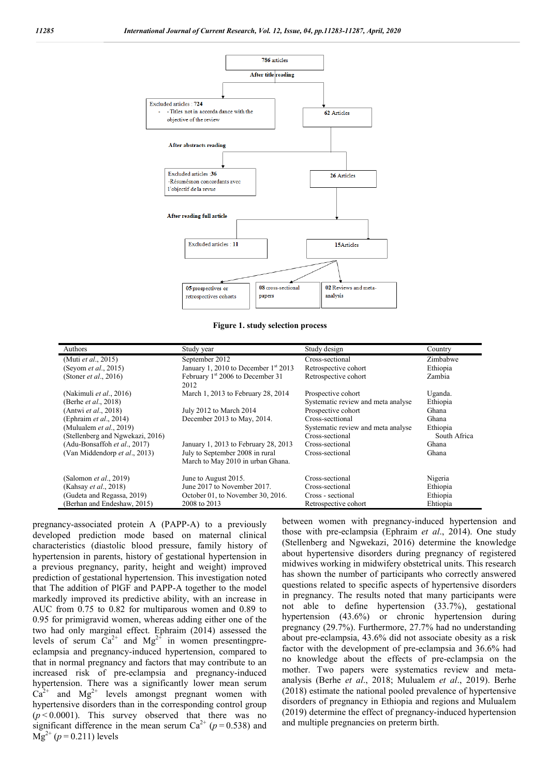

**Figure 1. study selection process**

| Authors                          | Study year                                                           | Study design                       | Country      |
|----------------------------------|----------------------------------------------------------------------|------------------------------------|--------------|
| (Muti et al., 2015)              | September 2012                                                       | Cross-sectional                    | Zimbabwe     |
| (Seyom <i>et al.</i> , 2015)     | January 1, 2010 to December $1st 2013$                               | Retrospective cohort               | Ethiopia     |
| (Stoner <i>et al.</i> , 2016)    | February 1 <sup>st</sup> 2006 to December 31<br>2012                 | Retrospective cohort               | Zambia       |
| (Nakimuli et al., 2016)          | March 1, 2013 to February 28, 2014                                   | Prospective cohort                 | Uganda.      |
| (Berhe <i>et al.</i> , 2018)     |                                                                      | Systematic review and meta analyse | Ethiopia     |
| (Antwi et al., 2018)             | July 2012 to March 2014                                              | Prospective cohort                 | Ghana        |
| (Ephraim et al., 2014)           | December 2013 to May, 2014.                                          | Cross-secttional                   | Ghana        |
| (Mulualem et al., 2019)          |                                                                      | Systematic review and meta analyse | Ethiopia     |
| (Stellenberg and Ngwekazi, 2016) |                                                                      | Cross-sectional                    | South Africa |
| (Adu-Bonsaffoh et al., 2017)     | January 1, 2013 to February 28, 2013                                 | Cross-sectional                    | Ghana        |
| (Van Middendorp et al., 2013)    | July to September 2008 in rural<br>March to May 2010 in urban Ghana. | Cross-sectional                    | Ghana        |
| (Salomon <i>et al.</i> , 2019)   | June to August 2015.                                                 | Cross-sectional                    | Nigeria      |
| (Kahsay et al., 2018)            | June 2017 to November 2017.                                          | Cross-sectional                    | Ethiopia     |
| (Gudeta and Regassa, 2019)       | October 01, to November 30, 2016.                                    | Cross - sectional                  | Ethiopia     |
| (Berhan and Endeshaw, 2015)      | 2008 to 2013                                                         | Retrospective cohort               | Ehtiopia     |

pregnancy-associated protein A (PAPP-A) to a previously developed prediction mode based on maternal clinical characteristics (diastolic blood pressure, family history of hypertension in parents, history of gestational hypertension in a previous pregnancy, parity, height and weight) improved prediction of gestational hypertension. This investigation noted that The addition of PlGF and PAPP-A together to the model markedly improved its predictive ability, with an increase in AUC from 0.75 to 0.82 for multiparous women and 0.89 to 0.95 for primigravid women, whereas adding either one of the two had only marginal effect. Ephraim (2014) assessed the levels of serum  $Ca^{2+}$  and  $Mg^{2+}$  in women presentingpreeclampsia and pregnancy-induced hypertension, compared to that in normal pregnancy and factors that may contribute to an increased risk of pre-eclampsia and pregnancy-induced hypertension. There was a significantly lower mean serum  $Ca^{2+}$  and  $Mg^{2+}$  levels amongst pregnant women with hypertensive disorders than in the corresponding control group  $(p<0.0001)$ . This survey observed that there was no significant difference in the mean serum  $Ca^{2+} (p=0.538)$  and  $Mg^{2+}$  ( $p = 0.211$ ) levels

between women with pregnancy-induced hypertension and those with pre-eclampsia (Ephraim *et al*., 2014). One study (Stellenberg and Ngwekazi, 2016) determine the knowledge about hypertensive disorders during pregnancy of registered midwives working in midwifery obstetrical units. This research has shown the number of participants who correctly answered questions related to specific aspects of hypertensive disorders in pregnancy. The results noted that many participants were not able to define hypertension (33.7%), gestational hypertension (43.6%) or chronic hypertension during pregnancy (29.7%). Furthermore, 27.7% had no understanding about pre-eclampsia, 43.6% did not associate obesity as a risk factor with the development of pre-eclampsia and 36.6% had no knowledge about the effects of pre-eclampsia on the mother. Two papers were systematics review and metaanalysis (Berhe *et al*., 2018; Mulualem *et al*., 2019). Berhe (2018) estimate the national pooled prevalence of hypertensive disorders of pregnancy in Ethiopia and regions and Mulualem (2019) determine the effect of pregnancy-induced hypertension and multiple pregnancies on preterm birth.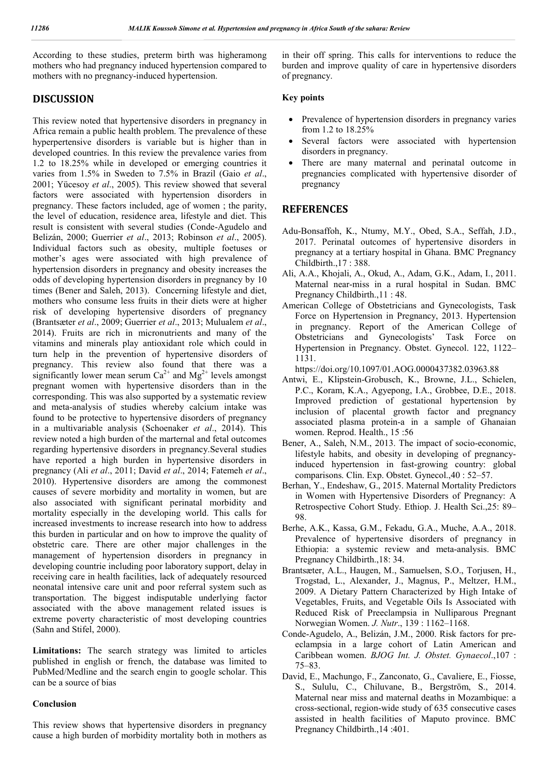According to these studies, preterm birth was higheramong mothers who had pregnancy induced hypertension compared to mothers with no pregnancy-induced hypertension.

# **DISCUSSION**

This review noted that hypertensive disorders in pregnancy in Africa remain a public health problem. The prevalence of these hyperpertensive disorders is variable but is higher than in developed countries. In this review the prevalence varies from 1.2 to 18.25% while in developed or emerging countries it varies from 1.5% in Sweden to 7.5% in Brazil (Gaio *et al*., 2001; Yücesoy *et al*., 2005). This review showed that several factors were associated with hypertension disorders in pregnancy. These factors included, age of women ; the parity, the level of education, residence area, lifestyle and diet. This result is consistent with several studies (Conde-Agudelo and Belizán, 2000; Guerrier *et al*., 2013; Robinson *et al*., 2005). Individual factors such as obesity, multiple foetuses or mother's ages were associated with high prevalence of hypertension disorders in pregnancy and obesity increases the odds of developing hypertension disorders in pregnancy by 10 times (Bener and Saleh, 2013). Concerning lifestyle and diet, mothers who consume less fruits in their diets were at higher risk of developing hypertensive disorders of pregnancy (Brantsæter *et al*., 2009; Guerrier *et al*., 2013; Mulualem *et al*., 2014). Fruits are rich in micronutrients and many of the vitamins and minerals play antioxidant role which could in turn help in the prevention of hypertensive disorders of pregnancy. This review also found that there was a significantly lower mean serum  $Ca^{2+}$  and  $Mg^{2+}$  levels amongst pregnant women with hypertensive disorders than in the corresponding. This was also supported by a systematic review and meta-analysis of studies whereby calcium intake was found to be protective to hypertensive disorders of pregnancy in a multivariable analysis (Schoenaker *et al*., 2014). This review noted a high burden of the marternal and fetal outcomes regarding hypertensive disorders in pregnancy.Several studies have reported a high burden in hypertensive disorders in pregnancy (Ali *et al*., 2011; David *et al*., 2014; Fatemeh *et al*., 2010). Hypertensive disorders are among the commonest causes of severe morbidity and mortality in women, but are also associated with significant perinatal morbidity and mortality especially in the developing world. This calls for increased investments to increase research into how to address this burden in particular and on how to improve the quality of obstetric care. There are other major challenges in the management of hypertension disorders in pregnancy in developing countrie including poor laboratory support, delay in receiving care in health facilities, lack of adequately resourced neonatal intensive care unit and poor referral system such as transportation. The biggest indisputable underlying factor associated with the above management related issues is extreme poverty characteristic of most developing countries (Sahn and Stifel, 2000).

**Limitations:** The search strategy was limited to articles published in english or french, the database was limited to PubMed/Medline and the search engin to google scholar. This can be a source of bias

#### **Conclusion**

This review shows that hypertensive disorders in pregnancy cause a high burden of morbidity mortality both in mothers as

in their off spring. This calls for interventions to reduce the burden and improve quality of care in hypertensive disorders of pregnancy.

#### **Key points**

- Prevalence of hypertension disorders in pregnancy varies from 1.2 to 18.25%
- Several factors were associated with hypertension disorders in pregnancy.
- There are many maternal and perinatal outcome in pregnancies complicated with hypertensive disorder of pregnancy

# **REFERENCES**

- Adu-Bonsaffoh, K., Ntumy, M.Y., Obed, S.A., Seffah, J.D., 2017. Perinatal outcomes of hypertensive disorders in pregnancy at a tertiary hospital in Ghana. BMC Pregnancy Childbirth.,17 : 388.
- Ali, A.A., Khojali, A., Okud, A., Adam, G.K., Adam, I., 2011. Maternal near-miss in a rural hospital in Sudan. BMC Pregnancy Childbirth., 11:48.
- American College of Obstetricians and Gynecologists, Task Force on Hypertension in Pregnancy, 2013. Hypertension in pregnancy. Report of the American College of Obstetricians and Gynecologists' Task Force on Hypertension in Pregnancy. Obstet. Gynecol. 122, 1122– 1131.

https://doi.org/10.1097/01.AOG.0000437382.03963.88

- Antwi, E., Klipstein-Grobusch, K., Browne, J.L., Schielen, P.C., Koram, K.A., Agyepong, I.A., Grobbee, D.E., 2018. Improved prediction of gestational hypertension by inclusion of placental growth factor and pregnancy associated plasma protein-a in a sample of Ghanaian women. Reprod. Health., 15 :56
- Bener, A., Saleh, N.M., 2013. The impact of socio-economic, lifestyle habits, and obesity in developing of pregnancyinduced hypertension in fast-growing country: global comparisons. Clin. Exp. Obstet. Gynecol.,40 : 52–57.
- Berhan, Y., Endeshaw, G., 2015. Maternal Mortality Predictors in Women with Hypertensive Disorders of Pregnancy: A Retrospective Cohort Study. Ethiop. J. Health Sci.,25: 89– 98.
- Berhe, A.K., Kassa, G.M., Fekadu, G.A., Muche, A.A., 2018. Prevalence of hypertensive disorders of pregnancy in Ethiopia: a systemic review and meta-analysis. BMC Pregnancy Childbirth.,18: 34.
- Brantsæter, A.L., Haugen, M., Samuelsen, S.O., Torjusen, H., Trogstad, L., Alexander, J., Magnus, P., Meltzer, H.M., 2009. A Dietary Pattern Characterized by High Intake of Vegetables, Fruits, and Vegetable Oils Is Associated with Reduced Risk of Preeclampsia in Nulliparous Pregnant Norwegian Women. *J. Nutr*., 139 : 1162–1168.
- Conde-Agudelo, A., Belizán, J.M., 2000. Risk factors for preeclampsia in a large cohort of Latin American and Caribbean women. *BJOG Int. J. Obstet. Gynaecol*.,107 : 75–83.
- David, E., Machungo, F., Zanconato, G., Cavaliere, E., Fiosse, S., Sululu, C., Chiluvane, B., Bergström, S., 2014. Maternal near miss and maternal deaths in Mozambique: a cross-sectional, region-wide study of 635 consecutive cases assisted in health facilities of Maputo province. BMC Pregnancy Childbirth.,14 :401.